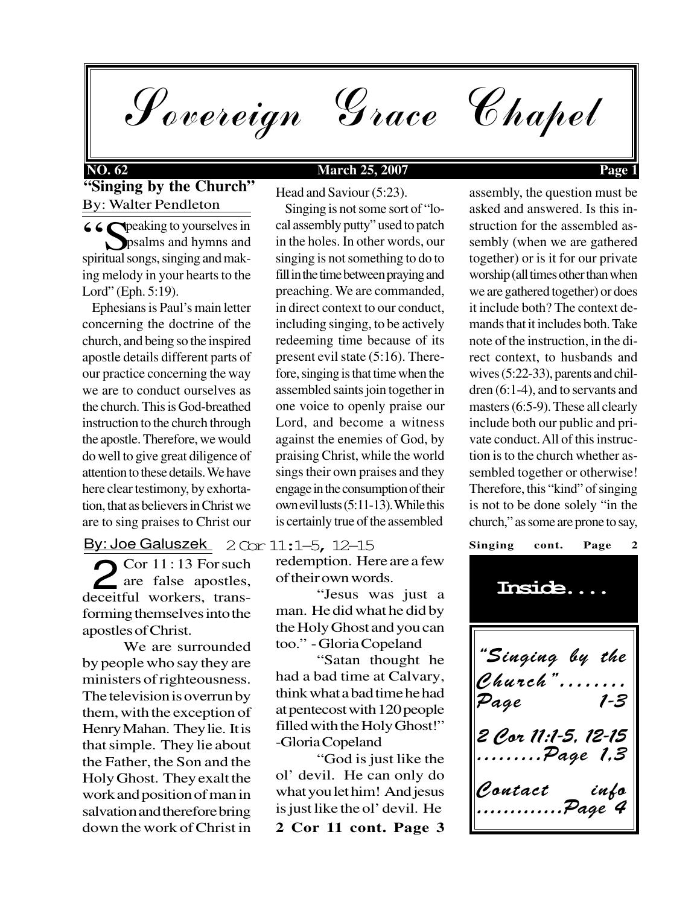Sovereign Grace Chapel

## **NO. 62 March 25, 2007 Page 1**

### **"Singing by the Church"** By: Walter Pendleton

**6 6 S** peaking to yourselves in Speaking to yourselves in spiritual songs singing and mak psalms and hymns and spiritual songs, singing and making melody in your hearts to the Lord" (Eph. 5:19).

 Ephesians is Paul's main letter concerning the doctrine of the church, and being so the inspired apostle details different parts of our practice concerning the way we are to conduct ourselves as the church. This is God-breathed instruction to the church through the apostle. Therefore, we would do well to give great diligence of attention to these details. We have here clear testimony, by exhortation, that as believers in Christ we are to sing praises to Christ our

By: Joe Galuszek 2 Cor 11:1–5, 12–15

 $\sum$  Cor 11:13 For such<br>are false apostles,<br>eceiful workers trans-**Z** are false apostles, deceitful workers, transforming themselves into the apostles of Christ.

We are surrounded by people who say they are ministers of righteousness. The television is overrun by them, with the exception of Henry Mahan. They lie. It is that simple. They lie about the Father, the Son and the Holy Ghost. They exalt the work and position of man in salvation and therefore bring down the work of Christ in

Head and Saviour (5:23).

 Singing is not some sort of "local assembly putty" used to patch in the holes. In other words, our singing is not something to do to fill in the time between praying and preaching. We are commanded, in direct context to our conduct, including singing, to be actively redeeming time because of its present evil state (5:16). Therefore, singing is that time when the assembled saints join together in one voice to openly praise our Lord, and become a witness against the enemies of God, by praising Christ, while the world sings their own praises and they engage in the consumption of their own evil lusts (5:11-13). While this is certainly true of the assembled

redemption. Here are a few of their own words.

"Jesus was just a man. He did what he did by the Holy Ghost and you can too." - Gloria Copeland

"Satan thought he had a bad time at Calvary, think what a bad time he had at pentecost with 120 people filled with the Holy Ghost!" -Gloria Copeland

"God is just like the ol' devil. He can only do what you let him! And jesus is just like the ol' devil. He

**2 Cor 11 cont. Page 3**

assembly, the question must be asked and answered. Is this instruction for the assembled assembly (when we are gathered together) or is it for our private worship (all times other than when we are gathered together) or does it include both? The context demands that it includes both. Take note of the instruction, in the direct context, to husbands and wives (5:22-33), parents and children (6:1-4), and to servants and masters (6:5-9). These all clearly include both our public and private conduct. All of this instruction is to the church whether assembled together or otherwise! Therefore, this "kind" of singing is not to be done solely "in the church," as some are prone to say,

"Singing by the Church" ........<br>Page 1-3 Page 2 Cor 11:1-5, 12-15 .........Page 1,3 Contact info  $\ldots \ldots$ Page 4 Singing cont. Page **Inside....**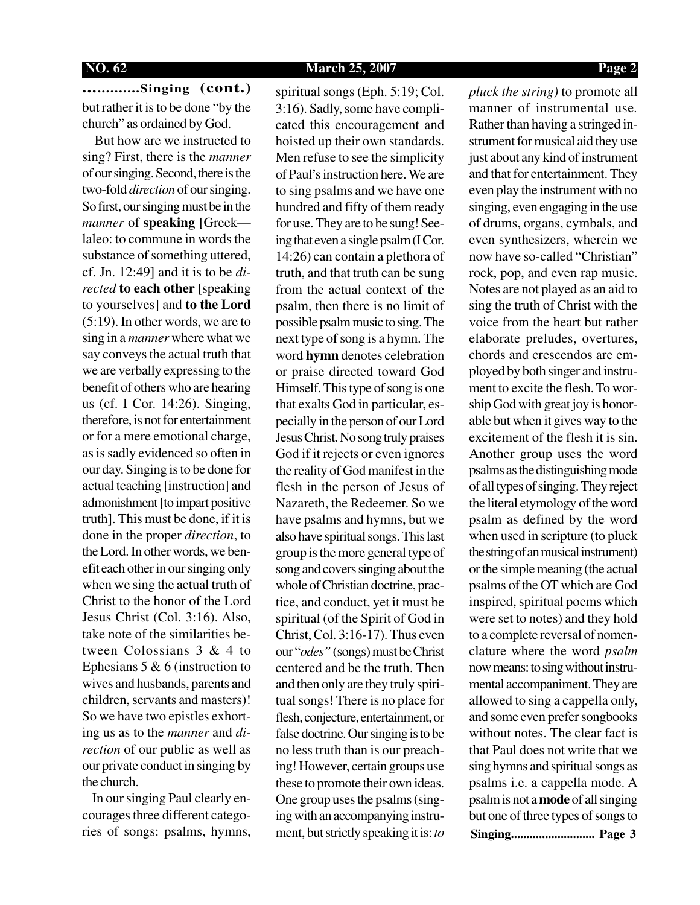**.............Singing (cont.)** but rather it is to be done "by the church" as ordained by God.

 But how are we instructed to sing? First, there is the *manner* of our singing. Second, there is the two-fold *direction* of our singing. So first, our singing must be in the *manner* of **speaking** [Greek laleo: to commune in words the substance of something uttered, cf. Jn. 12:49] and it is to be *directed* **to each other** [speaking to yourselves] and **to the Lord** (5:19). In other words, we are to sing in a *manner* where what we say conveys the actual truth that we are verbally expressing to the benefit of others who are hearing us (cf. I Cor. 14:26). Singing, therefore, is not for entertainment or for a mere emotional charge, as is sadly evidenced so often in our day. Singing is to be done for actual teaching [instruction] and admonishment [to impart positive truth]. This must be done, if it is done in the proper *direction*, to the Lord. In other words, we benefit each other in our singing only when we sing the actual truth of Christ to the honor of the Lord Jesus Christ (Col. 3:16). Also, take note of the similarities between Colossians 3 & 4 to Ephesians 5 & 6 (instruction to wives and husbands, parents and children, servants and masters)! So we have two epistles exhorting us as to the *manner* and *direction* of our public as well as our private conduct in singing by the church.

 In our singing Paul clearly encourages three different categories of songs: psalms, hymns, spiritual songs (Eph. 5:19; Col. 3:16). Sadly, some have complicated this encouragement and hoisted up their own standards. Men refuse to see the simplicity of Paul's instruction here. We are to sing psalms and we have one hundred and fifty of them ready for use. They are to be sung! Seeing that even a single psalm (I Cor. 14:26) can contain a plethora of truth, and that truth can be sung from the actual context of the psalm, then there is no limit of possible psalm music to sing. The next type of song is a hymn. The word **hymn** denotes celebration or praise directed toward God Himself. This type of song is one that exalts God in particular, especially in the person of our Lord Jesus Christ. No song truly praises God if it rejects or even ignores the reality of God manifest in the flesh in the person of Jesus of Nazareth, the Redeemer. So we have psalms and hymns, but we also have spiritual songs. This last group is the more general type of song and covers singing about the whole of Christian doctrine, practice, and conduct, yet it must be spiritual (of the Spirit of God in Christ, Col. 3:16-17). Thus even our "*odes*" (songs) must be Christ centered and be the truth. Then and then only are they truly spiritual songs! There is no place for flesh, conjecture, entertainment, or false doctrine. Our singing is to be no less truth than is our preaching! However, certain groups use these to promote their own ideas. One group uses the psalms (singing with an accompanying instrument, but strictly speaking it is: *to*

**Singing........................... Page 3** *pluck the string)* to promote all manner of instrumental use*.* Rather than having a stringed instrument for musical aid they use just about any kind of instrument and that for entertainment. They even play the instrument with no singing, even engaging in the use of drums, organs, cymbals, and even synthesizers, wherein we now have so-called "Christian" rock, pop, and even rap music. Notes are not played as an aid to sing the truth of Christ with the voice from the heart but rather elaborate preludes, overtures, chords and crescendos are employed by both singer and instrument to excite the flesh. To worship God with great joy is honorable but when it gives way to the excitement of the flesh it is sin. Another group uses the word psalms as the distinguishing mode of all types of singing. They reject the literal etymology of the word psalm as defined by the word when used in scripture (to pluck the string of an musical instrument) or the simple meaning (the actual psalms of the OT which are God inspired, spiritual poems which were set to notes) and they hold to a complete reversal of nomenclature where the word *psalm* now means: to sing without instrumental accompaniment. They are allowed to sing a cappella only, and some even prefer songbooks without notes. The clear fact is that Paul does not write that we sing hymns and spiritual songs as psalms i.e. a cappella mode. A psalm is not a **mode** of all singing but one of three types of songs to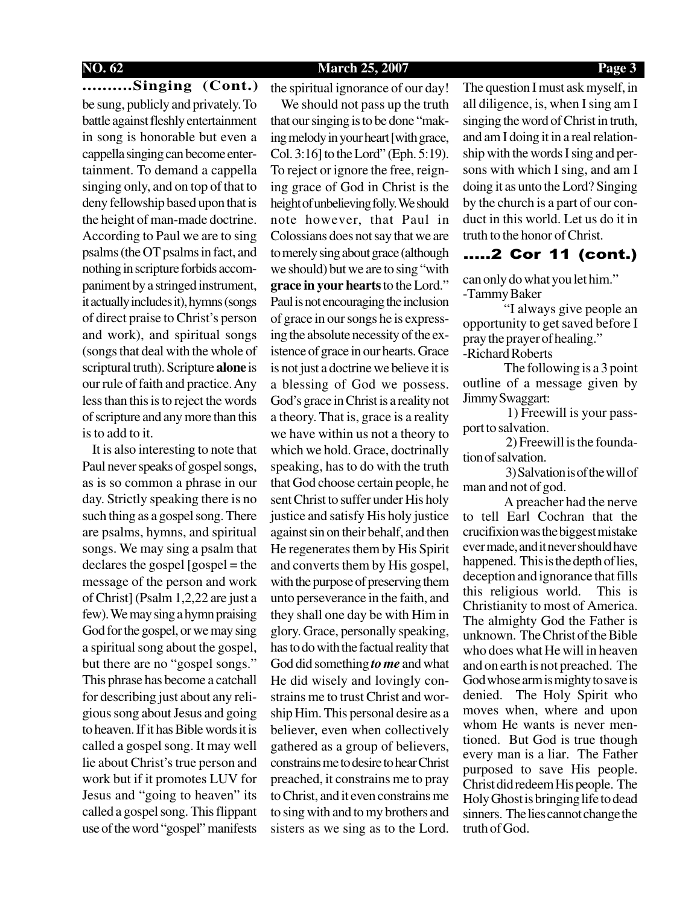### **NO. 62 March 25, 2007 Page 3**

**..........Singing (Cont.)** be sung, publicly and privately. To battle against fleshly entertainment in song is honorable but even a cappella singing can become entertainment. To demand a cappella singing only, and on top of that to deny fellowship based upon that is the height of man-made doctrine. According to Paul we are to sing psalms (the OT psalms in fact, and nothing in scripture forbids accompaniment by a stringed instrument, it actually includes it), hymns (songs of direct praise to Christ's person and work), and spiritual songs (songs that deal with the whole of scriptural truth). Scripture **alone** is our rule of faith and practice. Any less than this is to reject the words of scripture and any more than this is to add to it.

 It is also interesting to note that Paul never speaks of gospel songs, as is so common a phrase in our day. Strictly speaking there is no such thing as a gospel song. There are psalms, hymns, and spiritual songs. We may sing a psalm that  $\text{dec}$  declares the gospel  $\lceil \text{gospel} \rceil$  = the message of the person and work of Christ] (Psalm 1,2,22 are just a few). We may sing a hymn praising God for the gospel, or we may sing a spiritual song about the gospel, but there are no "gospel songs." This phrase has become a catchall for describing just about any religious song about Jesus and going to heaven. If it has Bible words it is called a gospel song. It may well lie about Christ's true person and work but if it promotes LUV for Jesus and "going to heaven" its called a gospel song. This flippant use of the word "gospel" manifests

the spiritual ignorance of our day! We should not pass up the truth that our singing is to be done "making melody in your heart [with grace, Col. 3:16] to the Lord" (Eph. 5:19). To reject or ignore the free, reigning grace of God in Christ is the height of unbelieving folly. We should note however, that Paul in Colossians does not say that we are to merely sing about grace (although we should) but we are to sing "with **grace in your hearts** to the Lord." Paul is not encouraging the inclusion of grace in our songs he is expressing the absolute necessity of the existence of grace in our hearts. Grace is not just a doctrine we believe it is a blessing of God we possess. God's grace in Christ is a reality not a theory. That is, grace is a reality we have within us not a theory to which we hold. Grace, doctrinally speaking, has to do with the truth that God choose certain people, he sent Christ to suffer under His holy justice and satisfy His holy justice against sin on their behalf, and then He regenerates them by His Spirit and converts them by His gospel, with the purpose of preserving them unto perseverance in the faith, and they shall one day be with Him in glory. Grace, personally speaking, has to do with the factual reality that God did something *to me* and what He did wisely and lovingly constrains me to trust Christ and worship Him. This personal desire as a believer, even when collectively gathered as a group of believers, constrains me to desire to hear Christ preached, it constrains me to pray to Christ, and it even constrains me to sing with and to my brothers and sisters as we sing as to the Lord.

The question I must ask myself, in all diligence, is, when I sing am I singing the word of Christ in truth, and am I doing it in a real relationship with the words I sing and persons with which I sing, and am I doing it as unto the Lord? Singing by the church is a part of our conduct in this world. Let us do it in truth to the honor of Christ.

### .....2 Cor 11 (cont.)

can only do what you let him." -Tammy Baker

"I always give people an opportunity to get saved before I pray the prayer of healing." -Richard Roberts

The following is a 3 point outline of a message given by Jimmy Swaggart:

 1) Freewill is your passport to salvation.

 2) Freewill is the foundation of salvation.

 3) Salvation is of the will of man and not of god.

A preacher had the nerve to tell Earl Cochran that the crucifixion was the biggest mistake ever made, and it never should have happened. This is the depth of lies, deception and ignorance that fills this religious world. This is Christianity to most of America. The almighty God the Father is unknown. The Christ of the Bible who does what He will in heaven and on earth is not preached. The God whose arm is mighty to save is denied. The Holy Spirit who moves when, where and upon whom He wants is never mentioned. But God is true though every man is a liar. The Father purposed to save His people. Christ did redeem His people. The Holy Ghost is bringing life to dead sinners. The lies cannot change the truth of God.